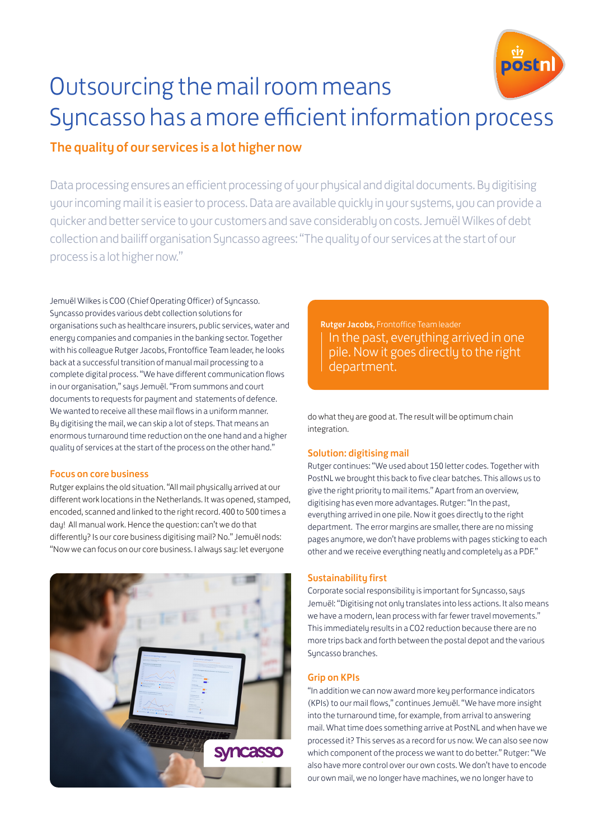

# Outsourcing the mail room means Syncasso has a more efficient information process

# The quality of our services is a lot higher now

Data processing ensures an efficient processing of your physical and digital documents. By digitising your incoming mail it is easier to process. Data are available quickly in your systems, you can provide a quicker and better service to your customers and save considerably on costs. Jemuël Wilkes of debt collection and bailiff organisation Syncasso agrees: "The quality of our services at the start of our process is a lot higher now."

Jemuël Wilkes is COO (Chief Operating Officer) of Syncasso. Syncasso provides various debt collection solutions for organisations such as healthcare insurers, public services, water and energy companies and companies in the banking sector. Together with his colleague Rutger Jacobs, Frontoffice Team leader, he looks back at a successful transition of manual mail processing to a complete digital process. "We have different communication flows in our organisation," says Jemuël. "From summons and court documents to requests for payment and statements of defence. We wanted to receive all these mail flows in a uniform manner. By digitising the mail, we can skip a lot of steps. That means an enormous turnaround time reduction on the one hand and a higher quality of services at the start of the process on the other hand."

#### Focus on core business

Rutger explains the old situation. "All mail physically arrived at our different work locations in the Netherlands. It was opened, stamped, encoded, scanned and linked to the right record. 400 to 500 times a day! All manual work. Hence the question: can't we do that differently? Is our core business digitising mail? No." Jemuël nods: "Now we can focus on our core business. I always say: let everyone



Rutger Jacobs, Frontoffice Team leader In the past, everything arrived in one pile. Now it goes directly to the right department.

do what they are good at. The result will be optimum chain integration.

# Solution: digitising mail

Rutger continues: "We used about 150 letter codes. Together with PostNL we brought this back to five clear batches. This allows us to give the right priority to mail items." Apart from an overview, digitising has even more advantages. Rutger: "In the past, everything arrived in one pile. Now it goes directly to the right department. The error margins are smaller, there are no missing pages anymore, we don't have problems with pages sticking to each other and we receive everything neatly and completely as a PDF."

# Sustainability first

Corporate social responsibility is important for Syncasso, says Jemuël: "Digitising not only translates into less actions. It also means we have a modern, lean process with far fewer travel movements." This immediately results in a CO2 reduction because there are no more trips back and forth between the postal depot and the various Syncasso branches.

# Grip on KPIs

"In addition we can now award more key performance indicators (KPIs) to our mail flows," continues Jemuël. "We have more insight into the turnaround time, for example, from arrival to answering mail. What time does something arrive at PostNL and when have we processed it? This serves as a record for us now. We can also see now which component of the process we want to do better." Rutger: "We also have more control over our own costs. We don't have to encode our own mail, we no longer have machines, we no longer have to